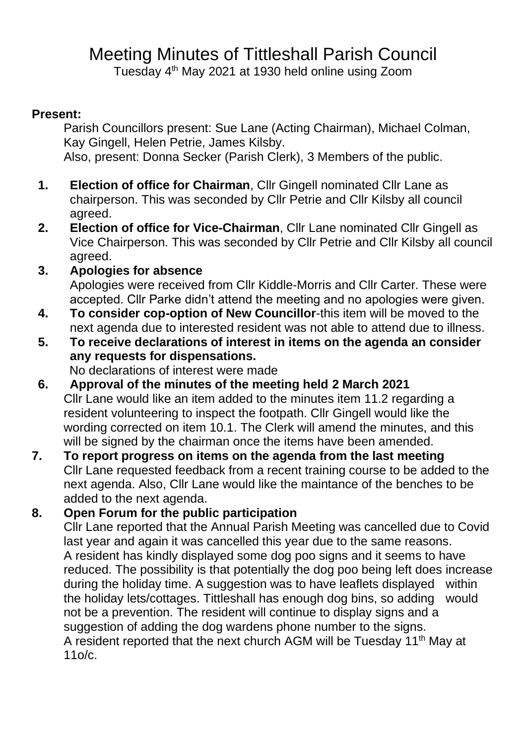# Meeting Minutes of Tittleshall Parish Council

Tuesday 4 th May 2021 at 1930 held online using Zoom

#### **Present:**

Parish Councillors present: Sue Lane (Acting Chairman), Michael Colman, Kay Gingell, Helen Petrie, James Kilsby. Also, present: Donna Secker (Parish Clerk), 3 Members of the public.

- **1. Election of office for Chairman**, Cllr Gingell nominated Cllr Lane as chairperson. This was seconded by Cllr Petrie and Cllr Kilsby all council agreed.
- **2. Election of office for Vice-Chairman**, Cllr Lane nominated Cllr Gingell as Vice Chairperson. This was seconded by Cllr Petrie and Cllr Kilsby all council agreed.
- **3. Apologies for absence** Apologies were received from Cllr Kiddle-Morris and Cllr Carter. These were accepted. Cllr Parke didn't attend the meeting and no apologies were given.
- **4. To consider cop-option of New Councillor**-this item will be moved to the next agenda due to interested resident was not able to attend due to illness.
- **5. To receive declarations of interest in items on the agenda an consider any requests for dispensations.**

No declarations of interest were made

- **6. Approval of the minutes of the meeting held 2 March 2021** Cllr Lane would like an item added to the minutes item 11.2 regarding a resident volunteering to inspect the footpath. Cllr Gingell would like the wording corrected on item 10.1. The Clerk will amend the minutes, and this will be signed by the chairman once the items have been amended.
- **7. To report progress on items on the agenda from the last meeting** Cllr Lane requested feedback from a recent training course to be added to the next agenda. Also, Cllr Lane would like the maintance of the benches to be added to the next agenda.

#### **8. Open Forum for the public participation**

Cllr Lane reported that the Annual Parish Meeting was cancelled due to Covid last year and again it was cancelled this year due to the same reasons. A resident has kindly displayed some dog poo signs and it seems to have reduced. The possibility is that potentially the dog poo being left does increase during the holiday time. A suggestion was to have leaflets displayed within the holiday lets/cottages. Tittleshall has enough dog bins, so adding would not be a prevention. The resident will continue to display signs and a suggestion of adding the dog wardens phone number to the signs. A resident reported that the next church AGM will be Tuesday 11th May at 11o/c.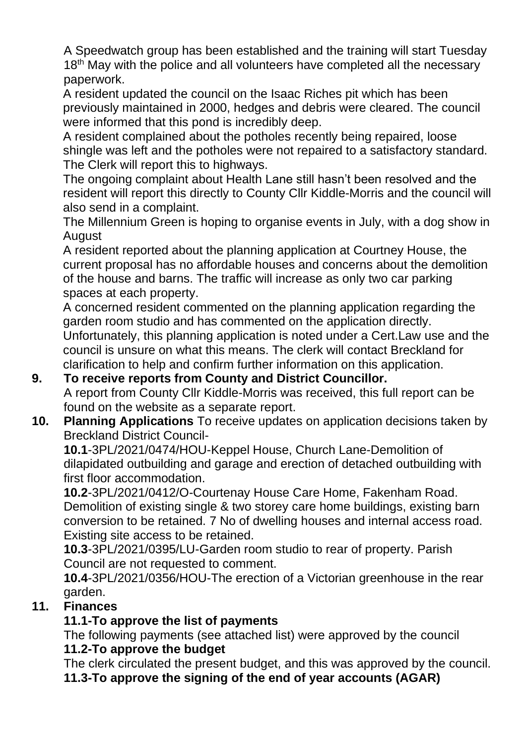A Speedwatch group has been established and the training will start Tuesday 18<sup>th</sup> May with the police and all volunteers have completed all the necessary paperwork.

A resident updated the council on the Isaac Riches pit which has been previously maintained in 2000, hedges and debris were cleared. The council were informed that this pond is incredibly deep.

A resident complained about the potholes recently being repaired, loose shingle was left and the potholes were not repaired to a satisfactory standard. The Clerk will report this to highways.

The ongoing complaint about Health Lane still hasn't been resolved and the resident will report this directly to County Cllr Kiddle-Morris and the council will also send in a complaint.

The Millennium Green is hoping to organise events in July, with a dog show in August

A resident reported about the planning application at Courtney House, the current proposal has no affordable houses and concerns about the demolition of the house and barns. The traffic will increase as only two car parking spaces at each property.

A concerned resident commented on the planning application regarding the garden room studio and has commented on the application directly. Unfortunately, this planning application is noted under a Cert.Law use and the council is unsure on what this means. The clerk will contact Breckland for clarification to help and confirm further information on this application.

#### **9. To receive reports from County and District Councillor.**  A report from County Cllr Kiddle-Morris was received, this full report can be found on the website as a separate report.

## **10. Planning Applications** To receive updates on application decisions taken by Breckland District Council-

**10.1**-3PL/2021/0474/HOU-Keppel House, Church Lane-Demolition of dilapidated outbuilding and garage and erection of detached outbuilding with first floor accommodation.

**10.2**-3PL/2021/0412/O-Courtenay House Care Home, Fakenham Road. Demolition of existing single & two storey care home buildings, existing barn conversion to be retained. 7 No of dwelling houses and internal access road. Existing site access to be retained.

**10.3**-3PL/2021/0395/LU-Garden room studio to rear of property. Parish Council are not requested to comment.

**10.4**-3PL/2021/0356/HOU-The erection of a Victorian greenhouse in the rear garden.

## **11. Finances**

# **11.1-To approve the list of payments**

The following payments (see attached list) were approved by the council **11.2-To approve the budget**

The clerk circulated the present budget, and this was approved by the council.

**11.3-To approve the signing of the end of year accounts (AGAR)**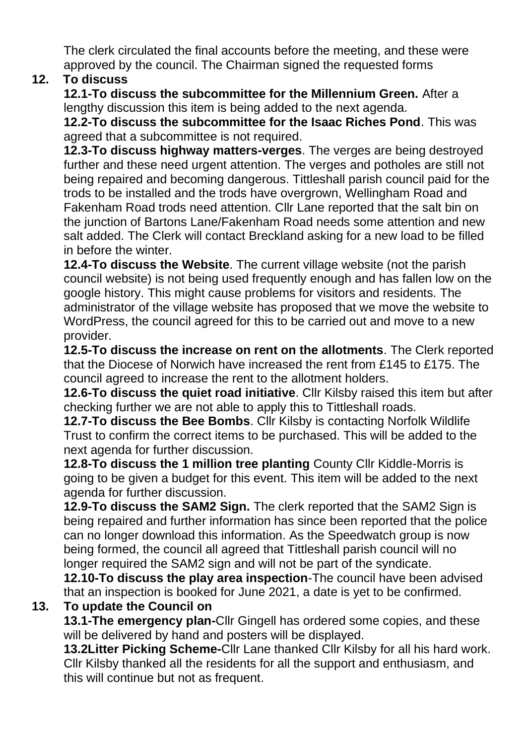The clerk circulated the final accounts before the meeting, and these were approved by the council. The Chairman signed the requested forms

#### **12. To discuss**

**12.1-To discuss the subcommittee for the Millennium Green.** After a lengthy discussion this item is being added to the next agenda.

**12.2-To discuss the subcommittee for the Isaac Riches Pond**. This was agreed that a subcommittee is not required.

**12.3-To discuss highway matters-verges**. The verges are being destroyed further and these need urgent attention. The verges and potholes are still not being repaired and becoming dangerous. Tittleshall parish council paid for the trods to be installed and the trods have overgrown, Wellingham Road and Fakenham Road trods need attention. Cllr Lane reported that the salt bin on the junction of Bartons Lane/Fakenham Road needs some attention and new salt added. The Clerk will contact Breckland asking for a new load to be filled in before the winter.

**12.4-To discuss the Website**. The current village website (not the parish council website) is not being used frequently enough and has fallen low on the google history. This might cause problems for visitors and residents. The administrator of the village website has proposed that we move the website to WordPress, the council agreed for this to be carried out and move to a new provider.

**12.5-To discuss the increase on rent on the allotments**. The Clerk reported that the Diocese of Norwich have increased the rent from £145 to £175. The council agreed to increase the rent to the allotment holders.

**12.6-To discuss the quiet road initiative**. Cllr Kilsby raised this item but after checking further we are not able to apply this to Tittleshall roads.

**12.7-To discuss the Bee Bombs**. Cllr Kilsby is contacting Norfolk Wildlife Trust to confirm the correct items to be purchased. This will be added to the next agenda for further discussion.

**12.8-To discuss the 1 million tree planting** County Cllr Kiddle-Morris is going to be given a budget for this event. This item will be added to the next agenda for further discussion.

**12.9-To discuss the SAM2 Sign.** The clerk reported that the SAM2 Sign is being repaired and further information has since been reported that the police can no longer download this information. As the Speedwatch group is now being formed, the council all agreed that Tittleshall parish council will no longer required the SAM2 sign and will not be part of the syndicate.

**12.10-To discuss the play area inspection**-The council have been advised that an inspection is booked for June 2021, a date is yet to be confirmed.

## **13. To update the Council on**

**13.1-The emergency plan-**Cllr Gingell has ordered some copies, and these will be delivered by hand and posters will be displayed.

**13.2Litter Picking Scheme-**Cllr Lane thanked Cllr Kilsby for all his hard work. Cllr Kilsby thanked all the residents for all the support and enthusiasm, and this will continue but not as frequent.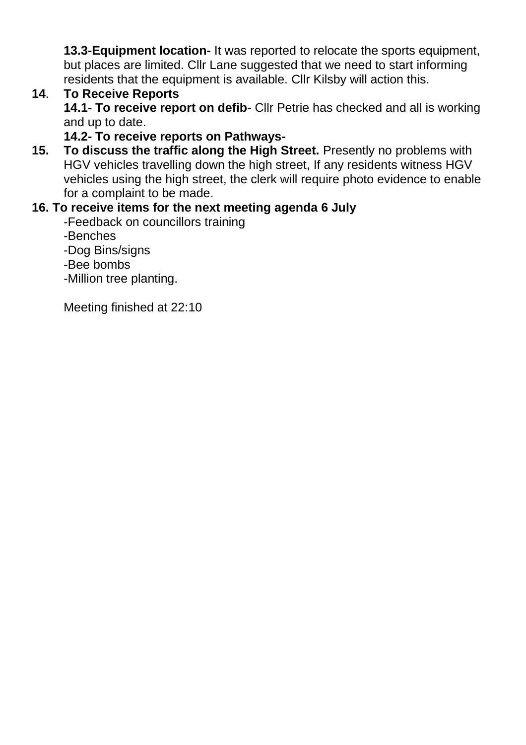**13.3-Equipment location-** It was reported to relocate the sports equipment, but places are limited. Cllr Lane suggested that we need to start informing residents that the equipment is available. Cllr Kilsby will action this.

#### **14**. **To Receive Reports**

**14.1- To receive report on defib-** Cllr Petrie has checked and all is working and up to date.

**14.2- To receive reports on Pathways-**

**15. To discuss the traffic along the High Street.** Presently no problems with HGV vehicles travelling down the high street, If any residents witness HGV vehicles using the high street, the clerk will require photo evidence to enable for a complaint to be made.

## **16. To receive items for the next meeting agenda 6 July**

- -Feedback on councillors training
- -Benches
- -Dog Bins/signs
- -Bee bombs
- -Million tree planting.

Meeting finished at 22:10